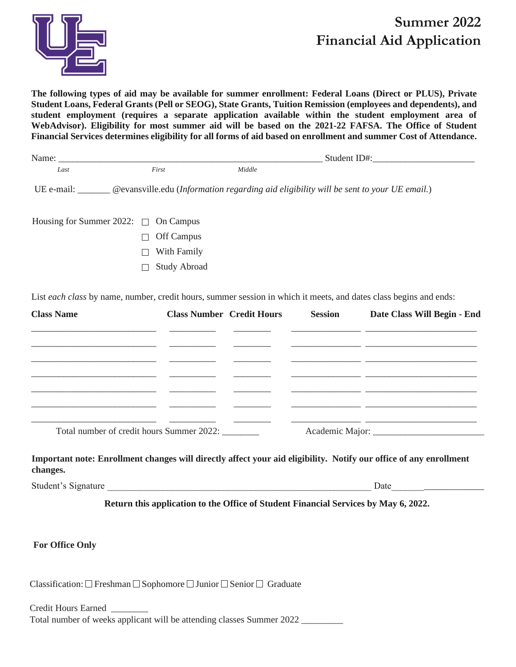

# **Summer 2022 Financial Aid Application**

**The following types of aid may be available for summer enrollment: Federal Loans (Direct or PLUS), Private Student Loans, Federal Grants (Pell or SEOG), State Grants, Tuition Remission (employees and dependents), and student employment (requires a separate application available within the student employment area of WebAdvisor). Eligibility for most summer aid will be based on the 2021-22 FAFSA. The Office of Student Financial Services determines eligibility for all forms of aid based on enrollment and summer Cost of Attendance.** 

| Name: Name and the state of the state of the state of the state of the state of the state of the state of the state of the state of the state of the state of the state of the state of the state of the state of the state of |                                                   |                                  | Student ID#:   |                                                                                                                       |
|--------------------------------------------------------------------------------------------------------------------------------------------------------------------------------------------------------------------------------|---------------------------------------------------|----------------------------------|----------------|-----------------------------------------------------------------------------------------------------------------------|
| Last                                                                                                                                                                                                                           | First                                             | Middle                           |                |                                                                                                                       |
| UE e-mail: <u>Communistic edu</u> (Information regarding aid eligibility will be sent to your UE email.)                                                                                                                       |                                                   |                                  |                |                                                                                                                       |
| Housing for Summer 2022: $\square$                                                                                                                                                                                             | On Campus                                         |                                  |                |                                                                                                                       |
|                                                                                                                                                                                                                                | Off Campus                                        |                                  |                |                                                                                                                       |
|                                                                                                                                                                                                                                | With Family                                       |                                  |                |                                                                                                                       |
|                                                                                                                                                                                                                                | <b>Study Abroad</b>                               |                                  |                |                                                                                                                       |
| <b>Class Name</b>                                                                                                                                                                                                              |                                                   | <b>Class Number Credit Hours</b> | <b>Session</b> | Date Class Will Begin - End                                                                                           |
|                                                                                                                                                                                                                                |                                                   |                                  |                |                                                                                                                       |
|                                                                                                                                                                                                                                |                                                   |                                  |                | <u> 1989 - Andrea Stadt Barbara, amerikan basar dan berasal dan berasal dari berasal dan berasal dan berasal dan</u>  |
| <u> 1980 - Jan Samuel Barbara, martin da shekara 1980 - Andrea Andrew Alexandro a San San A</u>                                                                                                                                |                                                   |                                  |                |                                                                                                                       |
|                                                                                                                                                                                                                                | Total number of credit hours Summer 2022: _______ |                                  |                | <u> 1990 - Johann John Stein, mars an deutscher Stein und der Stein und der Stein und der Stein und der Stein und</u> |

**Important note: Enrollment changes will directly affect your aid eligibility. Notify our office of any enrollment changes.**

Student's Signature Date

**Return this application to the Office of Student Financial Services by May 6, 2022.**

# **For Office Only**

Classification:  $\Box$  Freshman  $\Box$  Sophomore  $\Box$  Junior  $\Box$  Senior  $\Box$  Graduate

Credit Hours Earned \_\_\_\_\_\_\_\_ Total number of weeks applicant will be attending classes Summer 2022